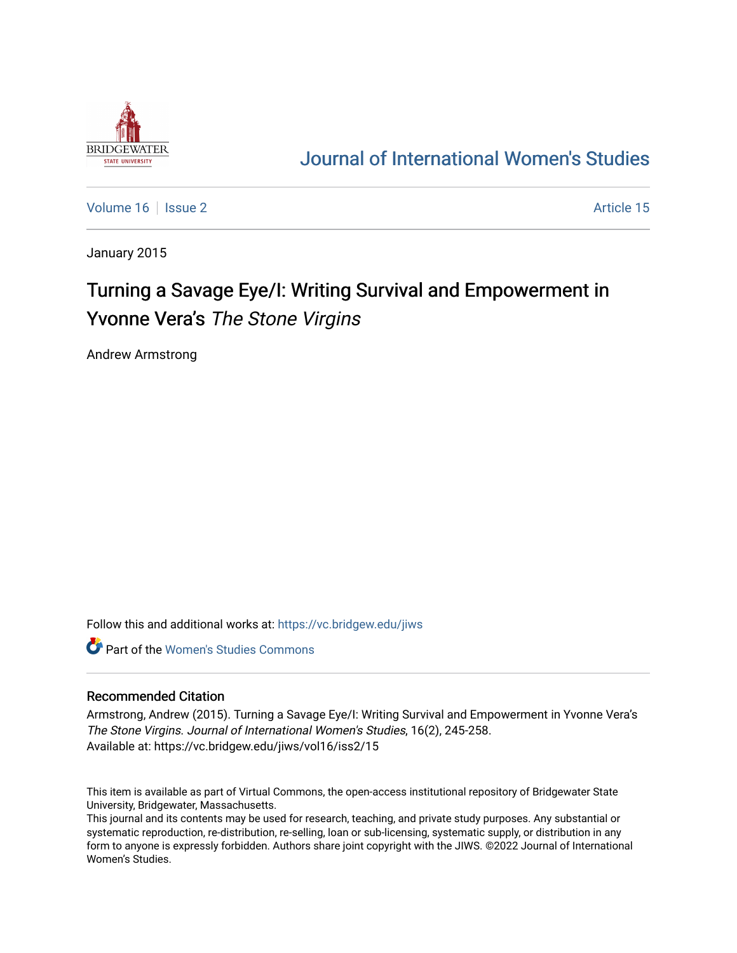

# [Journal of International Women's Studies](https://vc.bridgew.edu/jiws)

[Volume 16](https://vc.bridgew.edu/jiws/vol16) September 2 Article 15

January 2015

# Turning a Savage Eye/I: Writing Survival and Empowerment in Yvonne Vera's The Stone Virgins

Andrew Armstrong

Follow this and additional works at: [https://vc.bridgew.edu/jiws](https://vc.bridgew.edu/jiws?utm_source=vc.bridgew.edu%2Fjiws%2Fvol16%2Fiss2%2F15&utm_medium=PDF&utm_campaign=PDFCoverPages)

**C** Part of the Women's Studies Commons

#### Recommended Citation

Armstrong, Andrew (2015). Turning a Savage Eye/I: Writing Survival and Empowerment in Yvonne Vera's The Stone Virgins. Journal of International Women's Studies, 16(2), 245-258. Available at: https://vc.bridgew.edu/jiws/vol16/iss2/15

This item is available as part of Virtual Commons, the open-access institutional repository of Bridgewater State University, Bridgewater, Massachusetts.

This journal and its contents may be used for research, teaching, and private study purposes. Any substantial or systematic reproduction, re-distribution, re-selling, loan or sub-licensing, systematic supply, or distribution in any form to anyone is expressly forbidden. Authors share joint copyright with the JIWS. ©2022 Journal of International Women's Studies.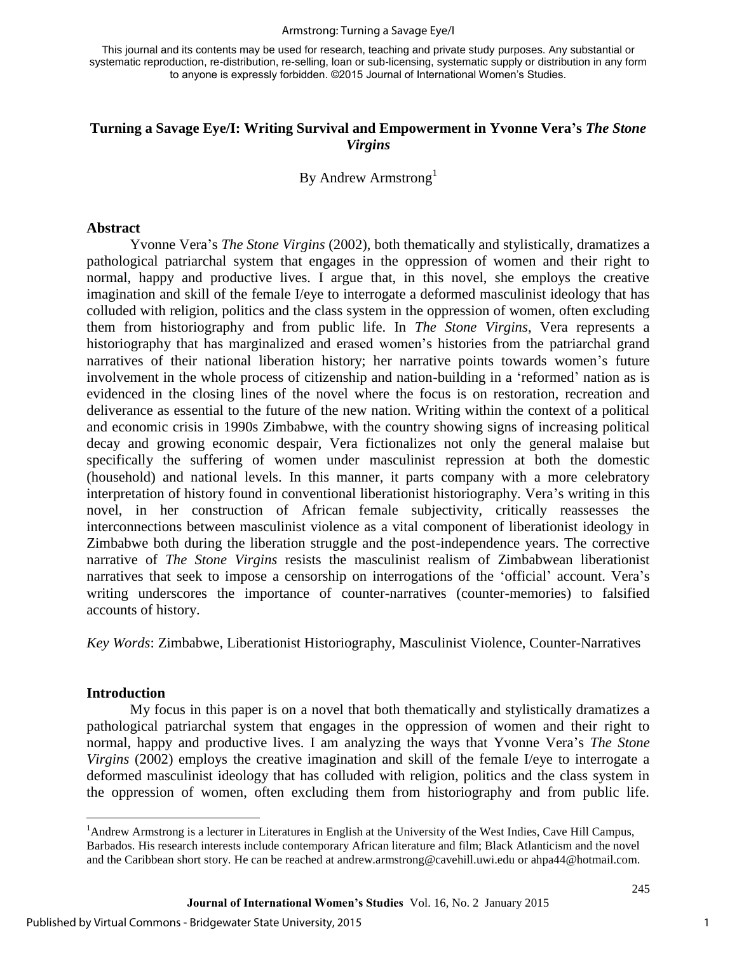#### Armstrong: Turning a Savage Eye/I

This journal and its contents may be used for research, teaching and private study purposes. Any substantial or systematic reproduction, re-distribution, re-selling, loan or sub-licensing, systematic supply or distribution in any form to anyone is expressly forbidden. ©2015 Journal of International Women's Studies.

# **Turning a Savage Eye/I: Writing Survival and Empowerment in Yvonne Vera's** *The Stone Virgins*

By Andrew Armstrong<sup>1</sup>

#### **Abstract**

Yvonne Vera's *The Stone Virgins* (2002), both thematically and stylistically, dramatizes a pathological patriarchal system that engages in the oppression of women and their right to normal, happy and productive lives. I argue that, in this novel, she employs the creative imagination and skill of the female I/eye to interrogate a deformed masculinist ideology that has colluded with religion, politics and the class system in the oppression of women, often excluding them from historiography and from public life. In *The Stone Virgins*, Vera represents a historiography that has marginalized and erased women's histories from the patriarchal grand narratives of their national liberation history; her narrative points towards women's future involvement in the whole process of citizenship and nation-building in a 'reformed' nation as is evidenced in the closing lines of the novel where the focus is on restoration, recreation and deliverance as essential to the future of the new nation. Writing within the context of a political and economic crisis in 1990s Zimbabwe, with the country showing signs of increasing political decay and growing economic despair, Vera fictionalizes not only the general malaise but specifically the suffering of women under masculinist repression at both the domestic (household) and national levels. In this manner, it parts company with a more celebratory interpretation of history found in conventional liberationist historiography. Vera's writing in this novel, in her construction of African female subjectivity, critically reassesses the interconnections between masculinist violence as a vital component of liberationist ideology in Zimbabwe both during the liberation struggle and the post-independence years. The corrective narrative of *The Stone Virgins* resists the masculinist realism of Zimbabwean liberationist narratives that seek to impose a censorship on interrogations of the 'official' account. Vera's writing underscores the importance of counter-narratives (counter-memories) to falsified accounts of history.

*Key Words*: Zimbabwe, Liberationist Historiography, Masculinist Violence, Counter-Narratives

#### **Introduction**

 $\overline{a}$ 

My focus in this paper is on a novel that both thematically and stylistically dramatizes a pathological patriarchal system that engages in the oppression of women and their right to normal, happy and productive lives. I am analyzing the ways that Yvonne Vera's *The Stone Virgins* (2002) employs the creative imagination and skill of the female I/eye to interrogate a deformed masculinist ideology that has colluded with religion, politics and the class system in the oppression of women, often excluding them from historiography and from public life.

1

<sup>&</sup>lt;sup>1</sup>Andrew Armstrong is a lecturer in Literatures in English at the University of the West Indies, Cave Hill Campus, Barbados. His research interests include contemporary African literature and film; Black Atlanticism and the novel and the Caribbean short story. He can be reached at andrew.armstrong@cavehill.uwi.edu or ahpa44@hotmail.com.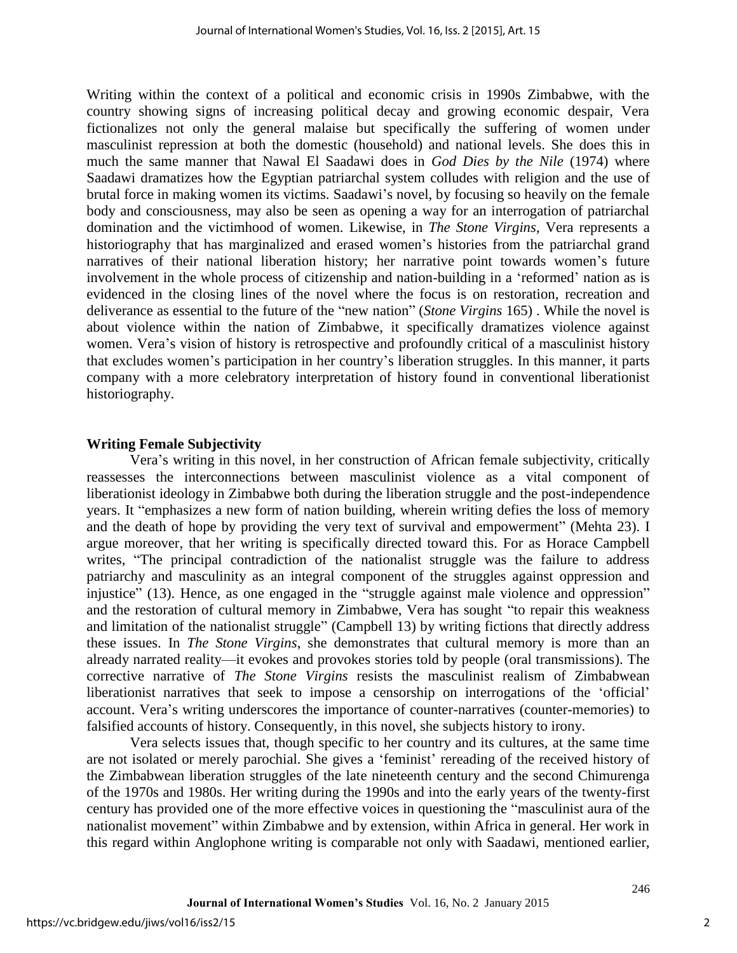Writing within the context of a political and economic crisis in 1990s Zimbabwe, with the country showing signs of increasing political decay and growing economic despair, Vera fictionalizes not only the general malaise but specifically the suffering of women under masculinist repression at both the domestic (household) and national levels. She does this in much the same manner that Nawal El Saadawi does in *God Dies by the Nile* (1974) where Saadawi dramatizes how the Egyptian patriarchal system colludes with religion and the use of brutal force in making women its victims. Saadawi's novel, by focusing so heavily on the female body and consciousness, may also be seen as opening a way for an interrogation of patriarchal domination and the victimhood of women. Likewise, in *The Stone Virgins*, Vera represents a historiography that has marginalized and erased women's histories from the patriarchal grand narratives of their national liberation history; her narrative point towards women's future involvement in the whole process of citizenship and nation-building in a 'reformed' nation as is evidenced in the closing lines of the novel where the focus is on restoration, recreation and deliverance as essential to the future of the "new nation" (*Stone Virgins* 165) . While the novel is about violence within the nation of Zimbabwe, it specifically dramatizes violence against women. Vera's vision of history is retrospective and profoundly critical of a masculinist history that excludes women's participation in her country's liberation struggles. In this manner, it parts company with a more celebratory interpretation of history found in conventional liberationist historiography.

### **Writing Female Subjectivity**

Vera's writing in this novel, in her construction of African female subjectivity, critically reassesses the interconnections between masculinist violence as a vital component of liberationist ideology in Zimbabwe both during the liberation struggle and the post-independence years. It "emphasizes a new form of nation building, wherein writing defies the loss of memory and the death of hope by providing the very text of survival and empowerment" (Mehta 23). I argue moreover, that her writing is specifically directed toward this. For as Horace Campbell writes, "The principal contradiction of the nationalist struggle was the failure to address patriarchy and masculinity as an integral component of the struggles against oppression and injustice" (13). Hence, as one engaged in the "struggle against male violence and oppression" and the restoration of cultural memory in Zimbabwe, Vera has sought "to repair this weakness and limitation of the nationalist struggle" (Campbell 13) by writing fictions that directly address these issues. In *The Stone Virgins*, she demonstrates that cultural memory is more than an already narrated reality—it evokes and provokes stories told by people (oral transmissions). The corrective narrative of *The Stone Virgins* resists the masculinist realism of Zimbabwean liberationist narratives that seek to impose a censorship on interrogations of the 'official' account. Vera's writing underscores the importance of counter-narratives (counter-memories) to falsified accounts of history. Consequently, in this novel, she subjects history to irony.

Vera selects issues that, though specific to her country and its cultures, at the same time are not isolated or merely parochial. She gives a 'feminist' rereading of the received history of the Zimbabwean liberation struggles of the late nineteenth century and the second Chimurenga of the 1970s and 1980s. Her writing during the 1990s and into the early years of the twenty-first century has provided one of the more effective voices in questioning the "masculinist aura of the nationalist movement" within Zimbabwe and by extension, within Africa in general. Her work in this regard within Anglophone writing is comparable not only with Saadawi, mentioned earlier,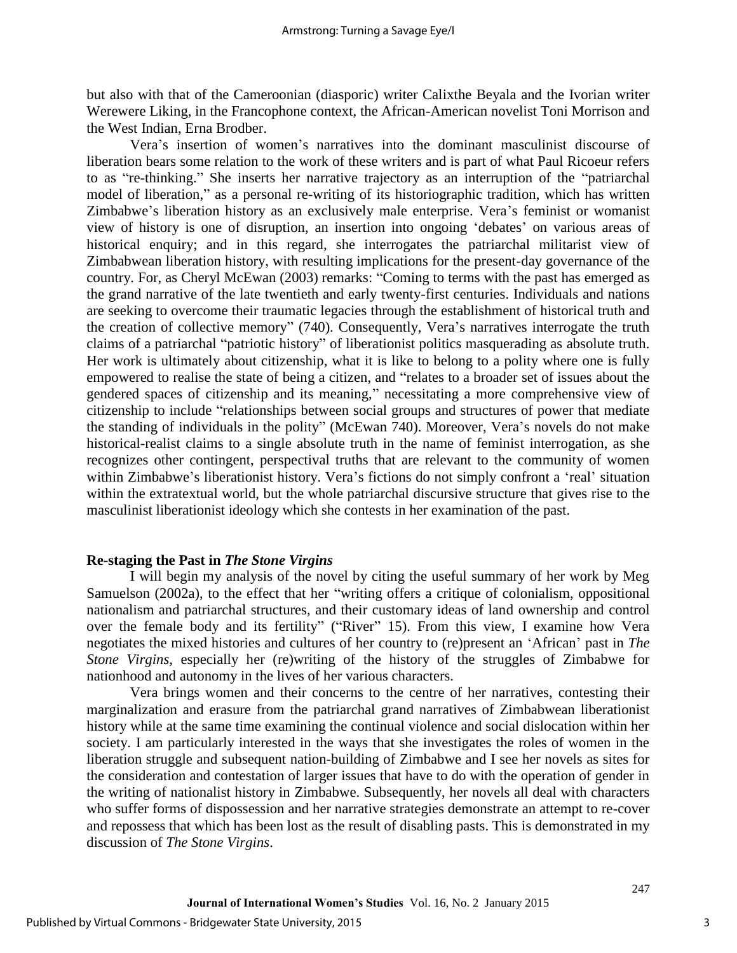but also with that of the Cameroonian (diasporic) writer Calixthe Beyala and the Ivorian writer Werewere Liking, in the Francophone context, the African-American novelist Toni Morrison and the West Indian, Erna Brodber.

Vera's insertion of women's narratives into the dominant masculinist discourse of liberation bears some relation to the work of these writers and is part of what Paul Ricoeur refers to as "re-thinking." She inserts her narrative trajectory as an interruption of the "patriarchal model of liberation," as a personal re-writing of its historiographic tradition, which has written Zimbabwe's liberation history as an exclusively male enterprise. Vera's feminist or womanist view of history is one of disruption, an insertion into ongoing 'debates' on various areas of historical enquiry; and in this regard, she interrogates the patriarchal militarist view of Zimbabwean liberation history, with resulting implications for the present-day governance of the country. For, as Cheryl McEwan (2003) remarks: "Coming to terms with the past has emerged as the grand narrative of the late twentieth and early twenty-first centuries. Individuals and nations are seeking to overcome their traumatic legacies through the establishment of historical truth and the creation of collective memory" (740). Consequently, Vera's narratives interrogate the truth claims of a patriarchal "patriotic history" of liberationist politics masquerading as absolute truth. Her work is ultimately about citizenship, what it is like to belong to a polity where one is fully empowered to realise the state of being a citizen, and "relates to a broader set of issues about the gendered spaces of citizenship and its meaning," necessitating a more comprehensive view of citizenship to include "relationships between social groups and structures of power that mediate the standing of individuals in the polity" (McEwan 740). Moreover, Vera's novels do not make historical-realist claims to a single absolute truth in the name of feminist interrogation, as she recognizes other contingent, perspectival truths that are relevant to the community of women within Zimbabwe's liberationist history. Vera's fictions do not simply confront a 'real' situation within the extratextual world, but the whole patriarchal discursive structure that gives rise to the masculinist liberationist ideology which she contests in her examination of the past.

### **Re-staging the Past in** *The Stone Virgins*

I will begin my analysis of the novel by citing the useful summary of her work by Meg Samuelson (2002a), to the effect that her "writing offers a critique of colonialism, oppositional nationalism and patriarchal structures, and their customary ideas of land ownership and control over the female body and its fertility" ("River" 15). From this view, I examine how Vera negotiates the mixed histories and cultures of her country to (re)present an 'African' past in *The Stone Virgins*, especially her (re)writing of the history of the struggles of Zimbabwe for nationhood and autonomy in the lives of her various characters.

Vera brings women and their concerns to the centre of her narratives, contesting their marginalization and erasure from the patriarchal grand narratives of Zimbabwean liberationist history while at the same time examining the continual violence and social dislocation within her society. I am particularly interested in the ways that she investigates the roles of women in the liberation struggle and subsequent nation-building of Zimbabwe and I see her novels as sites for the consideration and contestation of larger issues that have to do with the operation of gender in the writing of nationalist history in Zimbabwe. Subsequently, her novels all deal with characters who suffer forms of dispossession and her narrative strategies demonstrate an attempt to re-cover and repossess that which has been lost as the result of disabling pasts. This is demonstrated in my discussion of *The Stone Virgins*.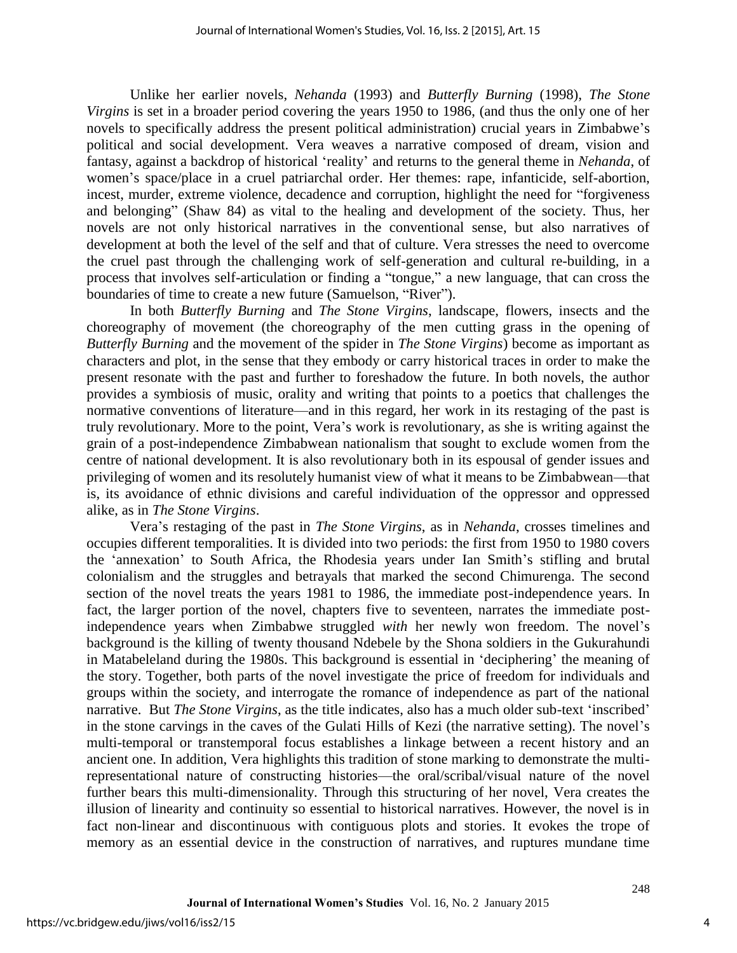Unlike her earlier novels, *Nehanda* (1993) and *Butterfly Burning* (1998), *The Stone Virgins* is set in a broader period covering the years 1950 to 1986, (and thus the only one of her novels to specifically address the present political administration) crucial years in Zimbabwe's political and social development. Vera weaves a narrative composed of dream, vision and fantasy, against a backdrop of historical 'reality' and returns to the general theme in *Nehanda*, of women's space/place in a cruel patriarchal order. Her themes: rape, infanticide, self-abortion, incest, murder, extreme violence, decadence and corruption, highlight the need for "forgiveness and belonging" (Shaw 84) as vital to the healing and development of the society. Thus, her novels are not only historical narratives in the conventional sense, but also narratives of development at both the level of the self and that of culture. Vera stresses the need to overcome the cruel past through the challenging work of self-generation and cultural re-building, in a process that involves self-articulation or finding a "tongue," a new language, that can cross the boundaries of time to create a new future (Samuelson, "River").

In both *Butterfly Burning* and *The Stone Virgins*, landscape, flowers, insects and the choreography of movement (the choreography of the men cutting grass in the opening of *Butterfly Burning* and the movement of the spider in *The Stone Virgins*) become as important as characters and plot, in the sense that they embody or carry historical traces in order to make the present resonate with the past and further to foreshadow the future. In both novels, the author provides a symbiosis of music, orality and writing that points to a poetics that challenges the normative conventions of literature—and in this regard, her work in its restaging of the past is truly revolutionary. More to the point, Vera's work is revolutionary, as she is writing against the grain of a post-independence Zimbabwean nationalism that sought to exclude women from the centre of national development. It is also revolutionary both in its espousal of gender issues and privileging of women and its resolutely humanist view of what it means to be Zimbabwean—that is, its avoidance of ethnic divisions and careful individuation of the oppressor and oppressed alike, as in *The Stone Virgins*.

Vera's restaging of the past in *The Stone Virgins*, as in *Nehanda*, crosses timelines and occupies different temporalities. It is divided into two periods: the first from 1950 to 1980 covers the 'annexation' to South Africa, the Rhodesia years under Ian Smith's stifling and brutal colonialism and the struggles and betrayals that marked the second Chimurenga. The second section of the novel treats the years 1981 to 1986, the immediate post-independence years. In fact, the larger portion of the novel, chapters five to seventeen, narrates the immediate postindependence years when Zimbabwe struggled *with* her newly won freedom. The novel's background is the killing of twenty thousand Ndebele by the Shona soldiers in the Gukurahundi in Matabeleland during the 1980s. This background is essential in 'deciphering' the meaning of the story. Together, both parts of the novel investigate the price of freedom for individuals and groups within the society, and interrogate the romance of independence as part of the national narrative. But *The Stone Virgins*, as the title indicates, also has a much older sub-text 'inscribed' in the stone carvings in the caves of the Gulati Hills of Kezi (the narrative setting). The novel's multi-temporal or transtemporal focus establishes a linkage between a recent history and an ancient one. In addition, Vera highlights this tradition of stone marking to demonstrate the multirepresentational nature of constructing histories—the oral/scribal/visual nature of the novel further bears this multi-dimensionality. Through this structuring of her novel, Vera creates the illusion of linearity and continuity so essential to historical narratives. However, the novel is in fact non-linear and discontinuous with contiguous plots and stories. It evokes the trope of memory as an essential device in the construction of narratives, and ruptures mundane time

4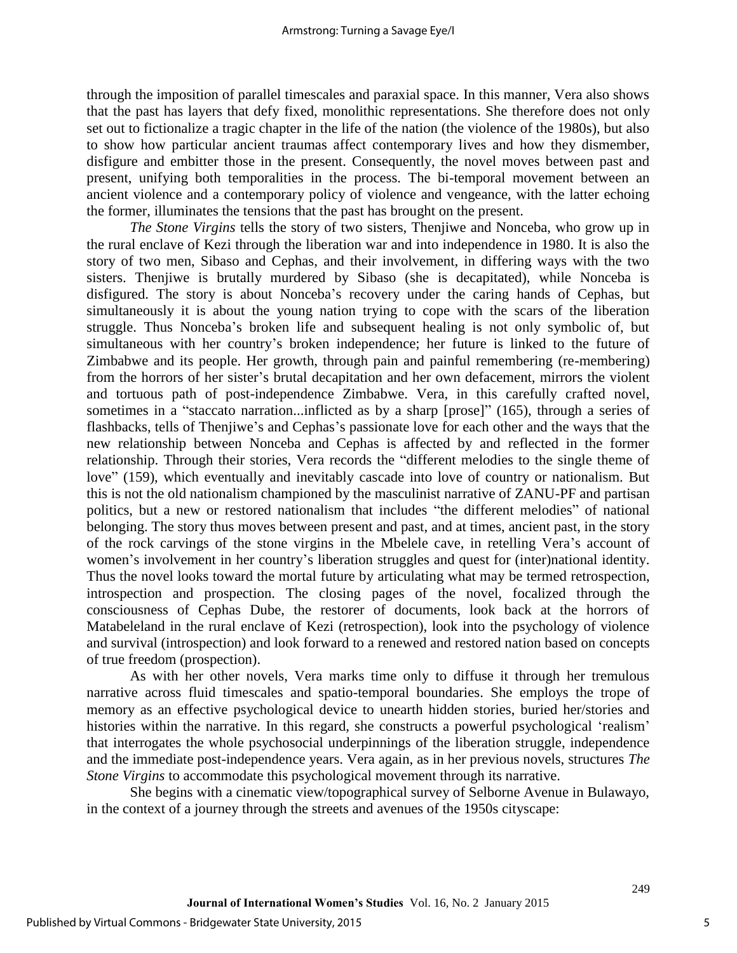through the imposition of parallel timescales and paraxial space. In this manner, Vera also shows that the past has layers that defy fixed, monolithic representations. She therefore does not only set out to fictionalize a tragic chapter in the life of the nation (the violence of the 1980s), but also to show how particular ancient traumas affect contemporary lives and how they dismember, disfigure and embitter those in the present. Consequently, the novel moves between past and present, unifying both temporalities in the process. The bi-temporal movement between an ancient violence and a contemporary policy of violence and vengeance, with the latter echoing the former, illuminates the tensions that the past has brought on the present.

*The Stone Virgins* tells the story of two sisters, Thenjiwe and Nonceba, who grow up in the rural enclave of Kezi through the liberation war and into independence in 1980. It is also the story of two men, Sibaso and Cephas, and their involvement, in differing ways with the two sisters. Thenjiwe is brutally murdered by Sibaso (she is decapitated), while Nonceba is disfigured. The story is about Nonceba's recovery under the caring hands of Cephas, but simultaneously it is about the young nation trying to cope with the scars of the liberation struggle. Thus Nonceba's broken life and subsequent healing is not only symbolic of, but simultaneous with her country's broken independence; her future is linked to the future of Zimbabwe and its people. Her growth, through pain and painful remembering (re-membering) from the horrors of her sister's brutal decapitation and her own defacement, mirrors the violent and tortuous path of post-independence Zimbabwe. Vera, in this carefully crafted novel, sometimes in a "staccato narration...inflicted as by a sharp [prose]" (165), through a series of flashbacks, tells of Thenjiwe's and Cephas's passionate love for each other and the ways that the new relationship between Nonceba and Cephas is affected by and reflected in the former relationship. Through their stories, Vera records the "different melodies to the single theme of love" (159), which eventually and inevitably cascade into love of country or nationalism. But this is not the old nationalism championed by the masculinist narrative of ZANU-PF and partisan politics, but a new or restored nationalism that includes "the different melodies" of national belonging. The story thus moves between present and past, and at times, ancient past, in the story of the rock carvings of the stone virgins in the Mbelele cave, in retelling Vera's account of women's involvement in her country's liberation struggles and quest for (inter)national identity. Thus the novel looks toward the mortal future by articulating what may be termed retrospection, introspection and prospection. The closing pages of the novel, focalized through the consciousness of Cephas Dube, the restorer of documents, look back at the horrors of Matabeleland in the rural enclave of Kezi (retrospection), look into the psychology of violence and survival (introspection) and look forward to a renewed and restored nation based on concepts of true freedom (prospection).

As with her other novels, Vera marks time only to diffuse it through her tremulous narrative across fluid timescales and spatio-temporal boundaries. She employs the trope of memory as an effective psychological device to unearth hidden stories, buried her/stories and histories within the narrative. In this regard, she constructs a powerful psychological 'realism' that interrogates the whole psychosocial underpinnings of the liberation struggle, independence and the immediate post-independence years. Vera again, as in her previous novels, structures *The Stone Virgins* to accommodate this psychological movement through its narrative.

She begins with a cinematic view/topographical survey of Selborne Avenue in Bulawayo, in the context of a journey through the streets and avenues of the 1950s cityscape: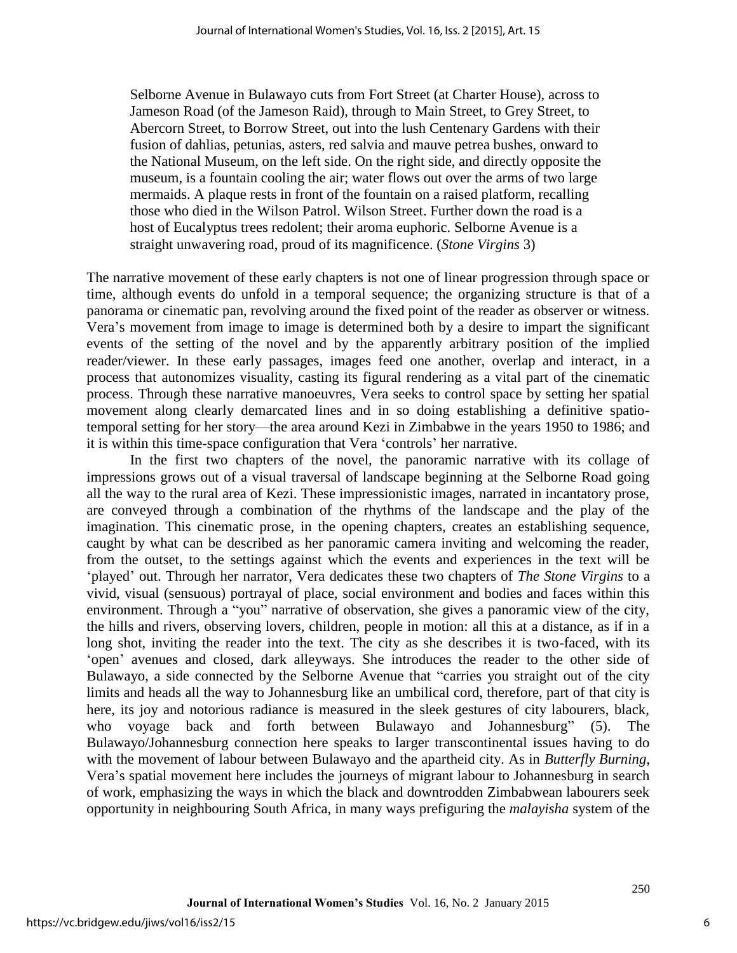Selborne Avenue in Bulawayo cuts from Fort Street (at Charter House), across to Jameson Road (of the Jameson Raid), through to Main Street, to Grey Street, to Abercorn Street, to Borrow Street, out into the lush Centenary Gardens with their fusion of dahlias, petunias, asters, red salvia and mauve petrea bushes, onward to the National Museum, on the left side. On the right side, and directly opposite the museum, is a fountain cooling the air; water flows out over the arms of two large mermaids. A plaque rests in front of the fountain on a raised platform, recalling those who died in the Wilson Patrol. Wilson Street. Further down the road is a host of Eucalyptus trees redolent; their aroma euphoric. Selborne Avenue is a straight unwavering road, proud of its magnificence. (*Stone Virgins* 3)

The narrative movement of these early chapters is not one of linear progression through space or time, although events do unfold in a temporal sequence; the organizing structure is that of a panorama or cinematic pan, revolving around the fixed point of the reader as observer or witness. Vera's movement from image to image is determined both by a desire to impart the significant events of the setting of the novel and by the apparently arbitrary position of the implied reader/viewer. In these early passages, images feed one another, overlap and interact, in a process that autonomizes visuality, casting its figural rendering as a vital part of the cinematic process. Through these narrative manoeuvres, Vera seeks to control space by setting her spatial movement along clearly demarcated lines and in so doing establishing a definitive spatiotemporal setting for her story—the area around Kezi in Zimbabwe in the years 1950 to 1986; and it is within this time-space configuration that Vera 'controls' her narrative.

In the first two chapters of the novel, the panoramic narrative with its collage of impressions grows out of a visual traversal of landscape beginning at the Selborne Road going all the way to the rural area of Kezi. These impressionistic images, narrated in incantatory prose, are conveyed through a combination of the rhythms of the landscape and the play of the imagination. This cinematic prose, in the opening chapters, creates an establishing sequence, caught by what can be described as her panoramic camera inviting and welcoming the reader, from the outset, to the settings against which the events and experiences in the text will be 'played' out. Through her narrator, Vera dedicates these two chapters of *The Stone Virgins* to a vivid, visual (sensuous) portrayal of place, social environment and bodies and faces within this environment. Through a "you" narrative of observation, she gives a panoramic view of the city, the hills and rivers, observing lovers, children, people in motion: all this at a distance, as if in a long shot, inviting the reader into the text. The city as she describes it is two-faced, with its 'open' avenues and closed, dark alleyways. She introduces the reader to the other side of Bulawayo, a side connected by the Selborne Avenue that "carries you straight out of the city limits and heads all the way to Johannesburg like an umbilical cord, therefore, part of that city is here, its joy and notorious radiance is measured in the sleek gestures of city labourers, black, who voyage back and forth between Bulawayo and Johannesburg" (5). The Bulawayo/Johannesburg connection here speaks to larger transcontinental issues having to do with the movement of labour between Bulawayo and the apartheid city. As in *Butterfly Burning*, Vera's spatial movement here includes the journeys of migrant labour to Johannesburg in search of work, emphasizing the ways in which the black and downtrodden Zimbabwean labourers seek opportunity in neighbouring South Africa, in many ways prefiguring the *malayisha* system of the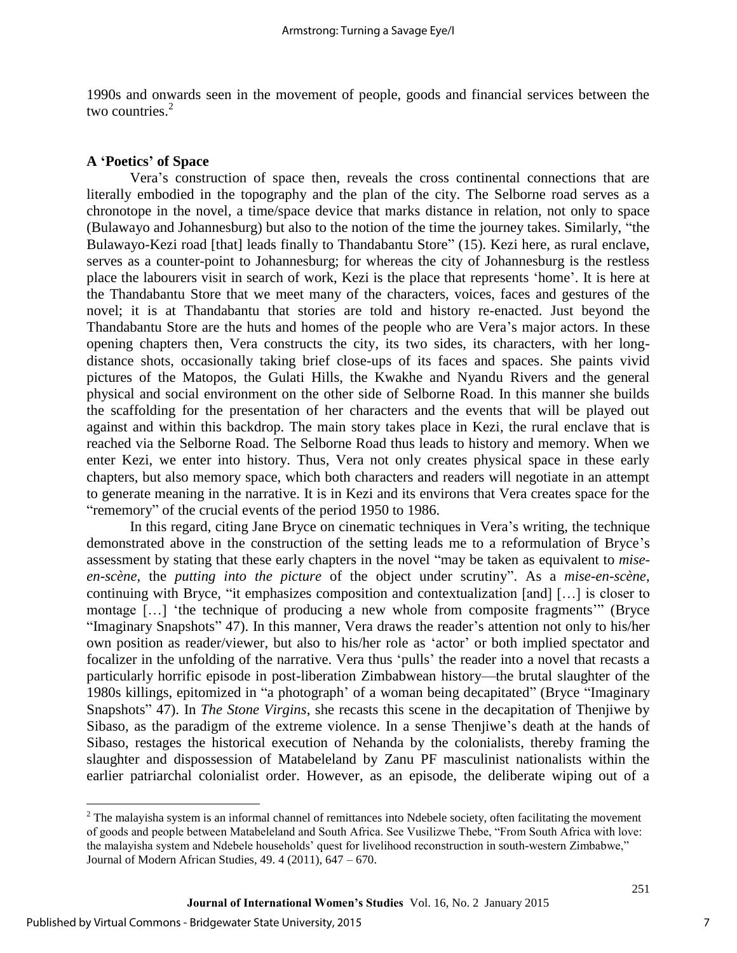1990s and onwards seen in the movement of people, goods and financial services between the two countries.<sup>2</sup>

# **A 'Poetics' of Space**

Vera's construction of space then, reveals the cross continental connections that are literally embodied in the topography and the plan of the city. The Selborne road serves as a chronotope in the novel, a time/space device that marks distance in relation, not only to space (Bulawayo and Johannesburg) but also to the notion of the time the journey takes. Similarly, "the Bulawayo-Kezi road [that] leads finally to Thandabantu Store" (15). Kezi here, as rural enclave, serves as a counter-point to Johannesburg; for whereas the city of Johannesburg is the restless place the labourers visit in search of work, Kezi is the place that represents 'home'. It is here at the Thandabantu Store that we meet many of the characters, voices, faces and gestures of the novel; it is at Thandabantu that stories are told and history re-enacted. Just beyond the Thandabantu Store are the huts and homes of the people who are Vera's major actors. In these opening chapters then, Vera constructs the city, its two sides, its characters, with her longdistance shots, occasionally taking brief close-ups of its faces and spaces. She paints vivid pictures of the Matopos, the Gulati Hills, the Kwakhe and Nyandu Rivers and the general physical and social environment on the other side of Selborne Road. In this manner she builds the scaffolding for the presentation of her characters and the events that will be played out against and within this backdrop. The main story takes place in Kezi, the rural enclave that is reached via the Selborne Road. The Selborne Road thus leads to history and memory. When we enter Kezi, we enter into history. Thus, Vera not only creates physical space in these early chapters, but also memory space, which both characters and readers will negotiate in an attempt to generate meaning in the narrative. It is in Kezi and its environs that Vera creates space for the "rememory" of the crucial events of the period 1950 to 1986.

In this regard, citing Jane Bryce on cinematic techniques in Vera's writing, the technique demonstrated above in the construction of the setting leads me to a reformulation of Bryce's assessment by stating that these early chapters in the novel "may be taken as equivalent to *miseen-scène*, the *putting into the picture* of the object under scrutiny". As a *mise-en-scène*, continuing with Bryce, "it emphasizes composition and contextualization [and] […] is closer to montage […] 'the technique of producing a new whole from composite fragments'" (Bryce "Imaginary Snapshots" 47). In this manner, Vera draws the reader's attention not only to his/her own position as reader/viewer, but also to his/her role as 'actor' or both implied spectator and focalizer in the unfolding of the narrative. Vera thus 'pulls' the reader into a novel that recasts a particularly horrific episode in post-liberation Zimbabwean history—the brutal slaughter of the 1980s killings, epitomized in "a photograph' of a woman being decapitated" (Bryce "Imaginary Snapshots" 47). In *The Stone Virgins*, she recasts this scene in the decapitation of Thenjiwe by Sibaso, as the paradigm of the extreme violence. In a sense Thenjiwe's death at the hands of Sibaso, restages the historical execution of Nehanda by the colonialists, thereby framing the slaughter and dispossession of Matabeleland by Zanu PF masculinist nationalists within the earlier patriarchal colonialist order. However, as an episode, the deliberate wiping out of a

 $\overline{a}$ 

 $2^2$  The malayisha system is an informal channel of remittances into Ndebele society, often facilitating the movement of goods and people between Matabeleland and South Africa. See Vusilizwe Thebe, "From South Africa with love: the malayisha system and Ndebele households' quest for livelihood reconstruction in south-western Zimbabwe," Journal of Modern African Studies, 49. 4 (2011), 647 – 670.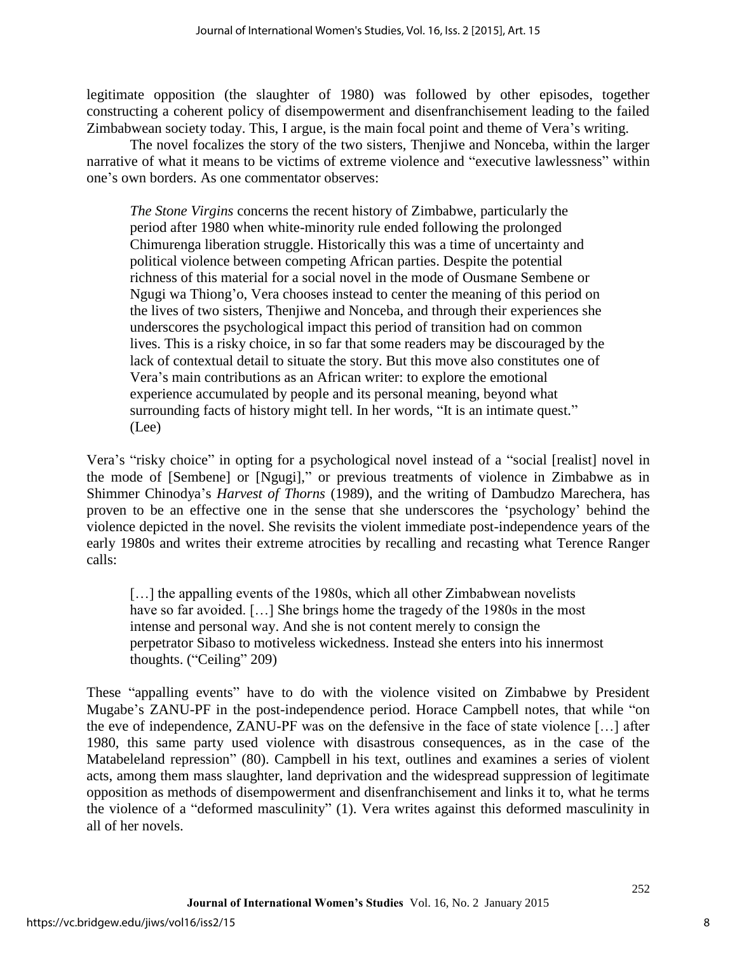legitimate opposition (the slaughter of 1980) was followed by other episodes, together constructing a coherent policy of disempowerment and disenfranchisement leading to the failed Zimbabwean society today. This, I argue, is the main focal point and theme of Vera's writing.

The novel focalizes the story of the two sisters, Thenjiwe and Nonceba, within the larger narrative of what it means to be victims of extreme violence and "executive lawlessness" within one's own borders. As one commentator observes:

*The Stone Virgins* concerns the recent history of Zimbabwe, particularly the period after 1980 when white-minority rule ended following the prolonged Chimurenga liberation struggle. Historically this was a time of uncertainty and political violence between competing African parties. Despite the potential richness of this material for a social novel in the mode of Ousmane Sembene or Ngugi wa Thiong'o, Vera chooses instead to center the meaning of this period on the lives of two sisters, Thenjiwe and Nonceba, and through their experiences she underscores the psychological impact this period of transition had on common lives. This is a risky choice, in so far that some readers may be discouraged by the lack of contextual detail to situate the story. But this move also constitutes one of Vera's main contributions as an African writer: to explore the emotional experience accumulated by people and its personal meaning, beyond what surrounding facts of history might tell. In her words, "It is an intimate quest." (Lee)

Vera's "risky choice" in opting for a psychological novel instead of a "social [realist] novel in the mode of [Sembene] or [Ngugi]," or previous treatments of violence in Zimbabwe as in Shimmer Chinodya's *Harvest of Thorns* (1989), and the writing of Dambudzo Marechera, has proven to be an effective one in the sense that she underscores the 'psychology' behind the violence depicted in the novel. She revisits the violent immediate post-independence years of the early 1980s and writes their extreme atrocities by recalling and recasting what Terence Ranger calls:

[...] the appalling events of the 1980s, which all other Zimbabwean novelists have so far avoided. [...] She brings home the tragedy of the 1980s in the most intense and personal way. And she is not content merely to consign the perpetrator Sibaso to motiveless wickedness. Instead she enters into his innermost thoughts. ("Ceiling" 209)

These "appalling events" have to do with the violence visited on Zimbabwe by President Mugabe's ZANU-PF in the post-independence period. Horace Campbell notes, that while "on the eve of independence, ZANU-PF was on the defensive in the face of state violence […] after 1980, this same party used violence with disastrous consequences, as in the case of the Matabeleland repression" (80). Campbell in his text, outlines and examines a series of violent acts, among them mass slaughter, land deprivation and the widespread suppression of legitimate opposition as methods of disempowerment and disenfranchisement and links it to, what he terms the violence of a "deformed masculinity" (1). Vera writes against this deformed masculinity in all of her novels.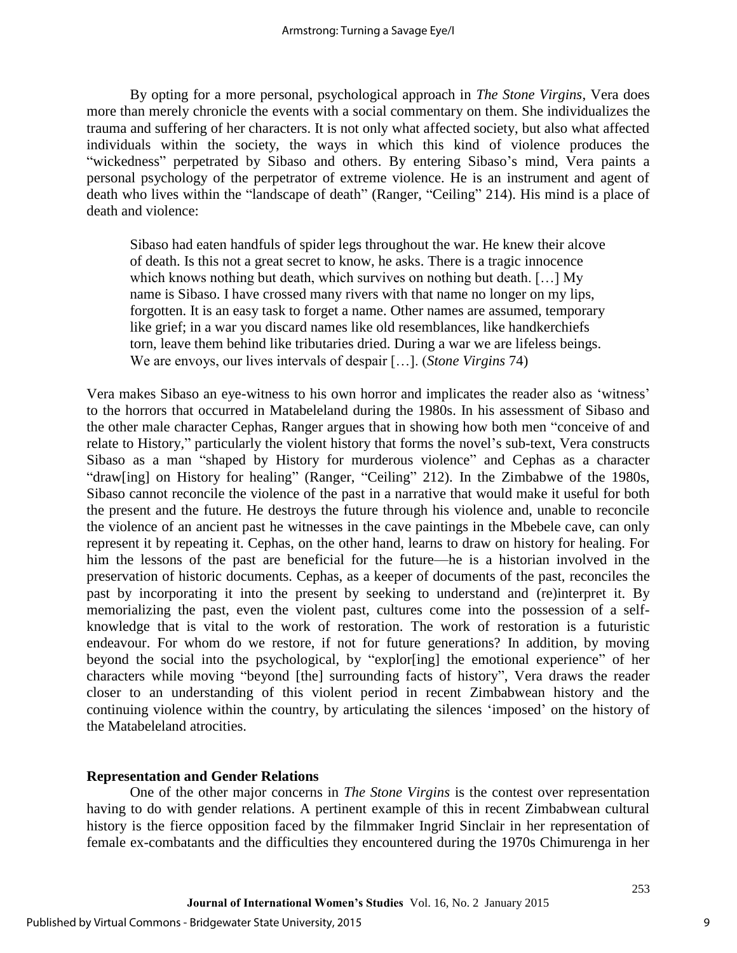By opting for a more personal, psychological approach in *The Stone Virgins*, Vera does more than merely chronicle the events with a social commentary on them. She individualizes the trauma and suffering of her characters. It is not only what affected society, but also what affected individuals within the society, the ways in which this kind of violence produces the "wickedness" perpetrated by Sibaso and others. By entering Sibaso's mind, Vera paints a personal psychology of the perpetrator of extreme violence. He is an instrument and agent of death who lives within the "landscape of death" (Ranger, "Ceiling" 214). His mind is a place of death and violence:

Sibaso had eaten handfuls of spider legs throughout the war. He knew their alcove of death. Is this not a great secret to know, he asks. There is a tragic innocence which knows nothing but death, which survives on nothing but death. […] My name is Sibaso. I have crossed many rivers with that name no longer on my lips, forgotten. It is an easy task to forget a name. Other names are assumed, temporary like grief; in a war you discard names like old resemblances, like handkerchiefs torn, leave them behind like tributaries dried. During a war we are lifeless beings. We are envoys, our lives intervals of despair […]. (*Stone Virgins* 74)

Vera makes Sibaso an eye-witness to his own horror and implicates the reader also as 'witness' to the horrors that occurred in Matabeleland during the 1980s. In his assessment of Sibaso and the other male character Cephas, Ranger argues that in showing how both men "conceive of and relate to History," particularly the violent history that forms the novel's sub-text, Vera constructs Sibaso as a man "shaped by History for murderous violence" and Cephas as a character "draw[ing] on History for healing" (Ranger, "Ceiling" 212). In the Zimbabwe of the 1980s, Sibaso cannot reconcile the violence of the past in a narrative that would make it useful for both the present and the future. He destroys the future through his violence and, unable to reconcile the violence of an ancient past he witnesses in the cave paintings in the Mbebele cave, can only represent it by repeating it. Cephas, on the other hand, learns to draw on history for healing. For him the lessons of the past are beneficial for the future—he is a historian involved in the preservation of historic documents. Cephas, as a keeper of documents of the past, reconciles the past by incorporating it into the present by seeking to understand and (re)interpret it. By memorializing the past, even the violent past, cultures come into the possession of a selfknowledge that is vital to the work of restoration. The work of restoration is a futuristic endeavour. For whom do we restore, if not for future generations? In addition, by moving beyond the social into the psychological, by "explor[ing] the emotional experience" of her characters while moving "beyond [the] surrounding facts of history", Vera draws the reader closer to an understanding of this violent period in recent Zimbabwean history and the continuing violence within the country, by articulating the silences 'imposed' on the history of the Matabeleland atrocities.

# **Representation and Gender Relations**

One of the other major concerns in *The Stone Virgins* is the contest over representation having to do with gender relations. A pertinent example of this in recent Zimbabwean cultural history is the fierce opposition faced by the filmmaker Ingrid Sinclair in her representation of female ex-combatants and the difficulties they encountered during the 1970s Chimurenga in her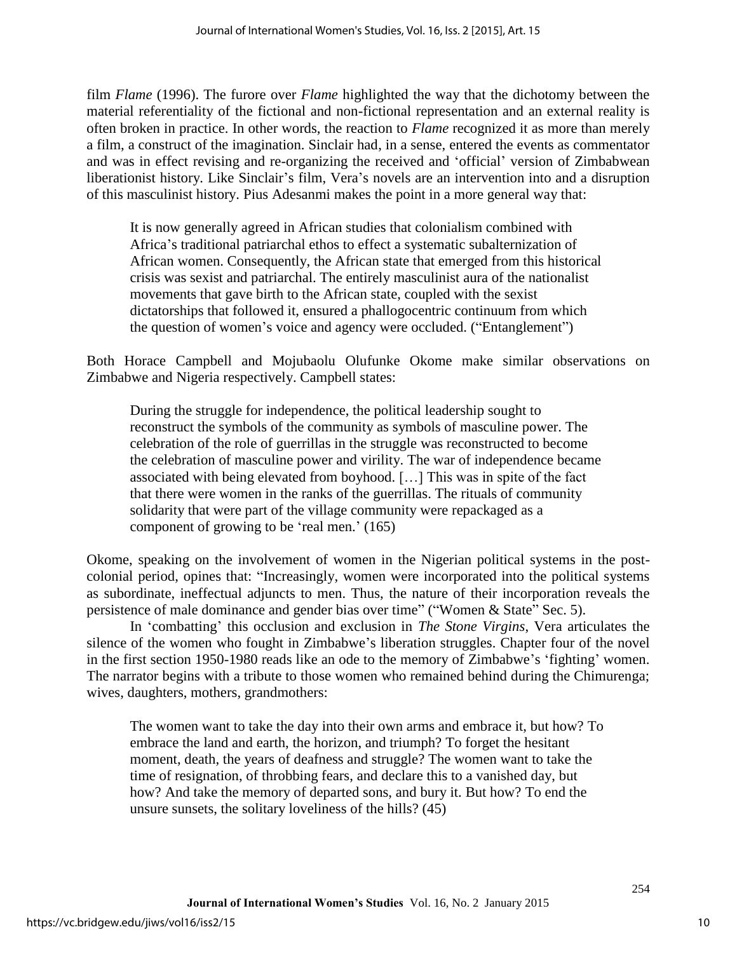film *Flame* (1996). The furore over *Flame* highlighted the way that the dichotomy between the material referentiality of the fictional and non-fictional representation and an external reality is often broken in practice. In other words, the reaction to *Flame* recognized it as more than merely a film, a construct of the imagination. Sinclair had, in a sense, entered the events as commentator and was in effect revising and re-organizing the received and 'official' version of Zimbabwean liberationist history. Like Sinclair's film, Vera's novels are an intervention into and a disruption of this masculinist history. Pius Adesanmi makes the point in a more general way that:

It is now generally agreed in African studies that colonialism combined with Africa's traditional patriarchal ethos to effect a systematic subalternization of African women. Consequently, the African state that emerged from this historical crisis was sexist and patriarchal. The entirely masculinist aura of the nationalist movements that gave birth to the African state, coupled with the sexist dictatorships that followed it, ensured a phallogocentric continuum from which the question of women's voice and agency were occluded. ("Entanglement")

Both Horace Campbell and Mojubaolu Olufunke Okome make similar observations on Zimbabwe and Nigeria respectively. Campbell states:

During the struggle for independence, the political leadership sought to reconstruct the symbols of the community as symbols of masculine power. The celebration of the role of guerrillas in the struggle was reconstructed to become the celebration of masculine power and virility. The war of independence became associated with being elevated from boyhood. […] This was in spite of the fact that there were women in the ranks of the guerrillas. The rituals of community solidarity that were part of the village community were repackaged as a component of growing to be 'real men.' (165)

Okome, speaking on the involvement of women in the Nigerian political systems in the postcolonial period, opines that: "Increasingly, women were incorporated into the political systems as subordinate, ineffectual adjuncts to men. Thus, the nature of their incorporation reveals the persistence of male dominance and gender bias over time" ("Women & State" Sec. 5).

In 'combatting' this occlusion and exclusion in *The Stone Virgins*, Vera articulates the silence of the women who fought in Zimbabwe's liberation struggles. Chapter four of the novel in the first section 1950-1980 reads like an ode to the memory of Zimbabwe's 'fighting' women. The narrator begins with a tribute to those women who remained behind during the Chimurenga; wives, daughters, mothers, grandmothers:

The women want to take the day into their own arms and embrace it, but how? To embrace the land and earth, the horizon, and triumph? To forget the hesitant moment, death, the years of deafness and struggle? The women want to take the time of resignation, of throbbing fears, and declare this to a vanished day, but how? And take the memory of departed sons, and bury it. But how? To end the unsure sunsets, the solitary loveliness of the hills? (45)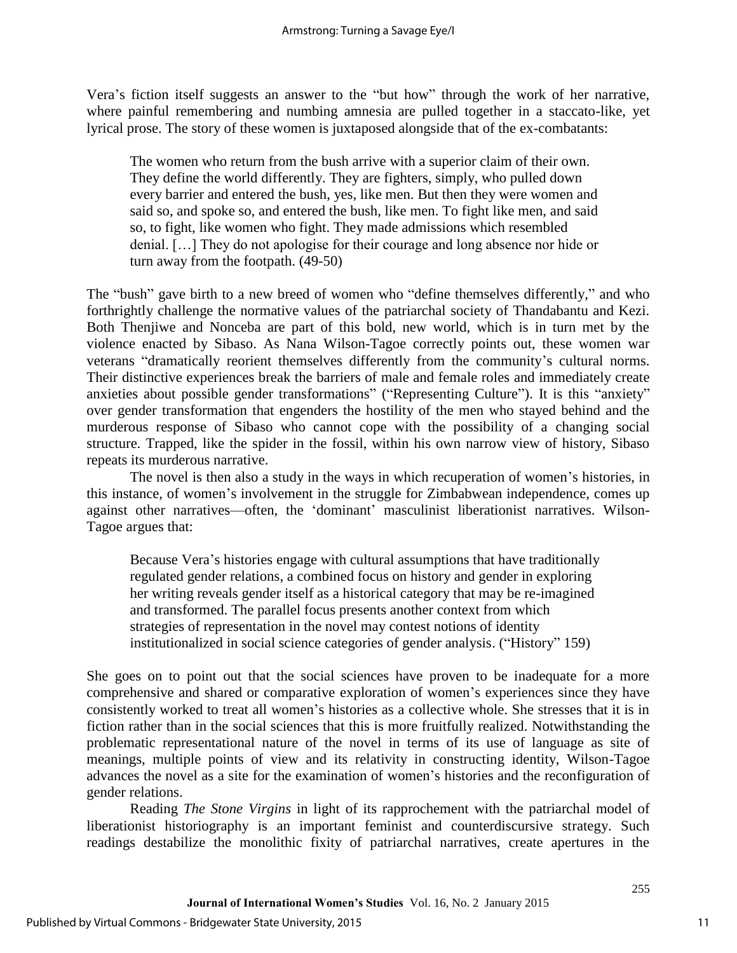Vera's fiction itself suggests an answer to the "but how" through the work of her narrative, where painful remembering and numbing amnesia are pulled together in a staccato-like, yet lyrical prose. The story of these women is juxtaposed alongside that of the ex-combatants:

The women who return from the bush arrive with a superior claim of their own. They define the world differently. They are fighters, simply, who pulled down every barrier and entered the bush, yes, like men. But then they were women and said so, and spoke so, and entered the bush, like men. To fight like men, and said so, to fight, like women who fight. They made admissions which resembled denial. […] They do not apologise for their courage and long absence nor hide or turn away from the footpath. (49-50)

The "bush" gave birth to a new breed of women who "define themselves differently," and who forthrightly challenge the normative values of the patriarchal society of Thandabantu and Kezi. Both Thenjiwe and Nonceba are part of this bold, new world, which is in turn met by the violence enacted by Sibaso. As Nana Wilson-Tagoe correctly points out, these women war veterans "dramatically reorient themselves differently from the community's cultural norms. Their distinctive experiences break the barriers of male and female roles and immediately create anxieties about possible gender transformations" ("Representing Culture"). It is this "anxiety" over gender transformation that engenders the hostility of the men who stayed behind and the murderous response of Sibaso who cannot cope with the possibility of a changing social structure. Trapped, like the spider in the fossil, within his own narrow view of history, Sibaso repeats its murderous narrative.

The novel is then also a study in the ways in which recuperation of women's histories, in this instance, of women's involvement in the struggle for Zimbabwean independence, comes up against other narratives—often, the 'dominant' masculinist liberationist narratives. Wilson-Tagoe argues that:

Because Vera's histories engage with cultural assumptions that have traditionally regulated gender relations, a combined focus on history and gender in exploring her writing reveals gender itself as a historical category that may be re-imagined and transformed. The parallel focus presents another context from which strategies of representation in the novel may contest notions of identity institutionalized in social science categories of gender analysis. ("History" 159)

She goes on to point out that the social sciences have proven to be inadequate for a more comprehensive and shared or comparative exploration of women's experiences since they have consistently worked to treat all women's histories as a collective whole. She stresses that it is in fiction rather than in the social sciences that this is more fruitfully realized. Notwithstanding the problematic representational nature of the novel in terms of its use of language as site of meanings, multiple points of view and its relativity in constructing identity, Wilson-Tagoe advances the novel as a site for the examination of women's histories and the reconfiguration of gender relations.

Reading *The Stone Virgins* in light of its rapprochement with the patriarchal model of liberationist historiography is an important feminist and counterdiscursive strategy. Such readings destabilize the monolithic fixity of patriarchal narratives, create apertures in the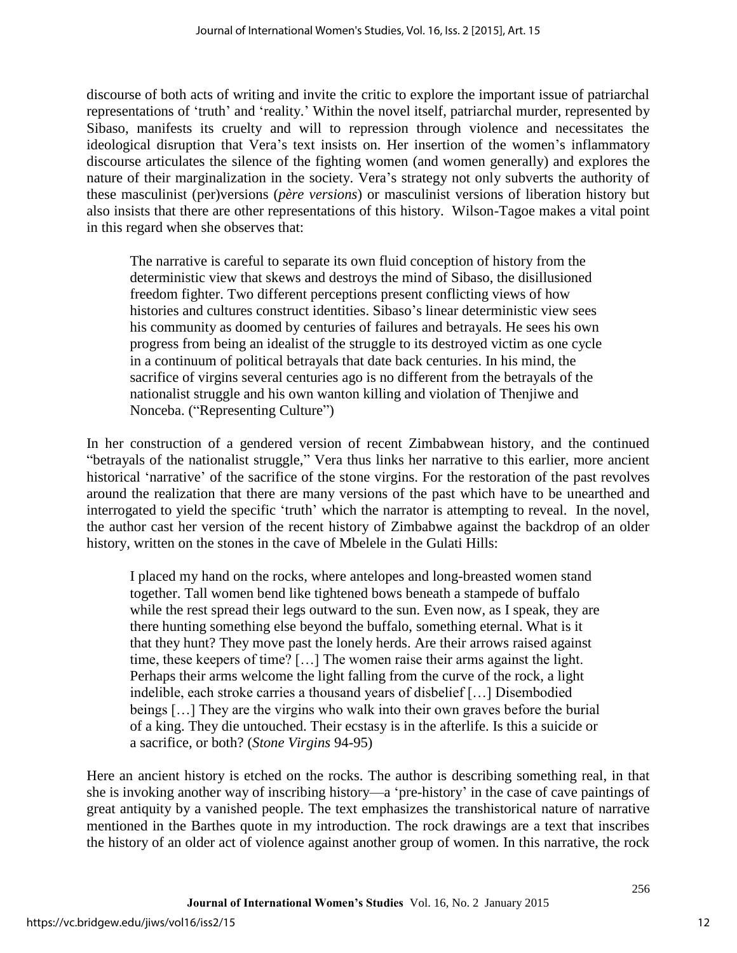discourse of both acts of writing and invite the critic to explore the important issue of patriarchal representations of 'truth' and 'reality.' Within the novel itself, patriarchal murder, represented by Sibaso, manifests its cruelty and will to repression through violence and necessitates the ideological disruption that Vera's text insists on. Her insertion of the women's inflammatory discourse articulates the silence of the fighting women (and women generally) and explores the nature of their marginalization in the society. Vera's strategy not only subverts the authority of these masculinist (per)versions (*père versions*) or masculinist versions of liberation history but also insists that there are other representations of this history. Wilson-Tagoe makes a vital point in this regard when she observes that:

The narrative is careful to separate its own fluid conception of history from the deterministic view that skews and destroys the mind of Sibaso, the disillusioned freedom fighter. Two different perceptions present conflicting views of how histories and cultures construct identities. Sibaso's linear deterministic view sees his community as doomed by centuries of failures and betrayals. He sees his own progress from being an idealist of the struggle to its destroyed victim as one cycle in a continuum of political betrayals that date back centuries. In his mind, the sacrifice of virgins several centuries ago is no different from the betrayals of the nationalist struggle and his own wanton killing and violation of Thenjiwe and Nonceba. ("Representing Culture")

In her construction of a gendered version of recent Zimbabwean history, and the continued "betrayals of the nationalist struggle," Vera thus links her narrative to this earlier, more ancient historical 'narrative' of the sacrifice of the stone virgins. For the restoration of the past revolves around the realization that there are many versions of the past which have to be unearthed and interrogated to yield the specific 'truth' which the narrator is attempting to reveal. In the novel, the author cast her version of the recent history of Zimbabwe against the backdrop of an older history, written on the stones in the cave of Mbelele in the Gulati Hills:

I placed my hand on the rocks, where antelopes and long-breasted women stand together. Tall women bend like tightened bows beneath a stampede of buffalo while the rest spread their legs outward to the sun. Even now, as I speak, they are there hunting something else beyond the buffalo, something eternal. What is it that they hunt? They move past the lonely herds. Are their arrows raised against time, these keepers of time? […] The women raise their arms against the light. Perhaps their arms welcome the light falling from the curve of the rock, a light indelible, each stroke carries a thousand years of disbelief […] Disembodied beings […] They are the virgins who walk into their own graves before the burial of a king. They die untouched. Their ecstasy is in the afterlife. Is this a suicide or a sacrifice, or both? (*Stone Virgins* 94-95)

Here an ancient history is etched on the rocks. The author is describing something real, in that she is invoking another way of inscribing history—a 'pre-history' in the case of cave paintings of great antiquity by a vanished people. The text emphasizes the transhistorical nature of narrative mentioned in the Barthes quote in my introduction. The rock drawings are a text that inscribes the history of an older act of violence against another group of women. In this narrative, the rock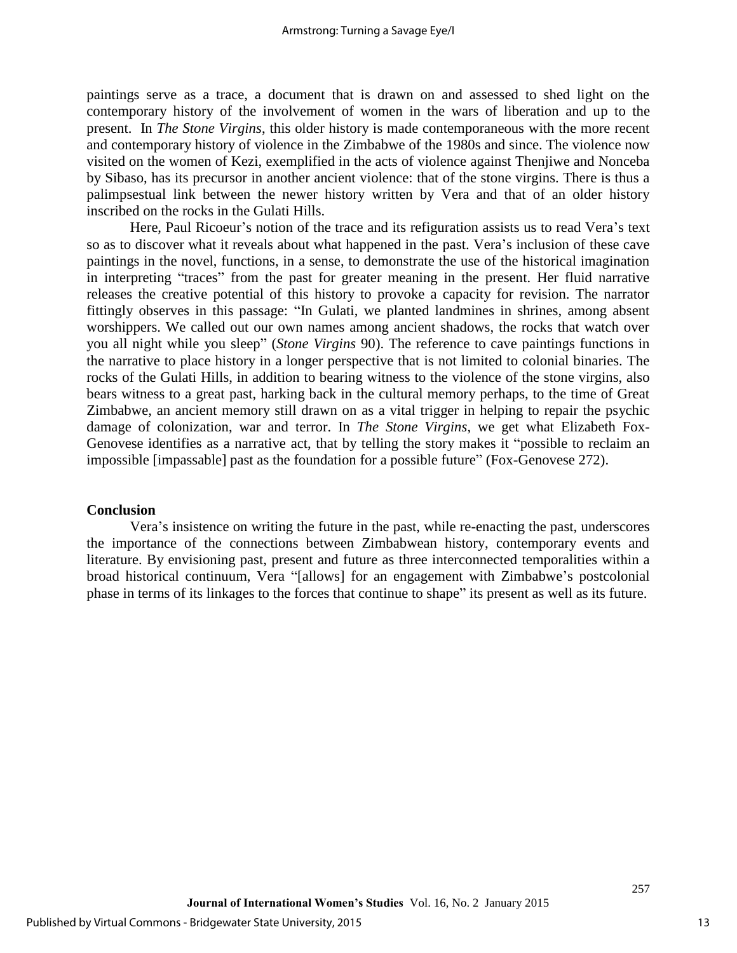paintings serve as a trace, a document that is drawn on and assessed to shed light on the contemporary history of the involvement of women in the wars of liberation and up to the present. In *The Stone Virgins*, this older history is made contemporaneous with the more recent and contemporary history of violence in the Zimbabwe of the 1980s and since. The violence now visited on the women of Kezi, exemplified in the acts of violence against Thenjiwe and Nonceba by Sibaso, has its precursor in another ancient violence: that of the stone virgins. There is thus a palimpsestual link between the newer history written by Vera and that of an older history inscribed on the rocks in the Gulati Hills.

Here, Paul Ricoeur's notion of the trace and its refiguration assists us to read Vera's text so as to discover what it reveals about what happened in the past. Vera's inclusion of these cave paintings in the novel, functions, in a sense, to demonstrate the use of the historical imagination in interpreting "traces" from the past for greater meaning in the present. Her fluid narrative releases the creative potential of this history to provoke a capacity for revision. The narrator fittingly observes in this passage: "In Gulati, we planted landmines in shrines, among absent worshippers. We called out our own names among ancient shadows, the rocks that watch over you all night while you sleep" (*Stone Virgins* 90). The reference to cave paintings functions in the narrative to place history in a longer perspective that is not limited to colonial binaries. The rocks of the Gulati Hills, in addition to bearing witness to the violence of the stone virgins, also bears witness to a great past, harking back in the cultural memory perhaps, to the time of Great Zimbabwe, an ancient memory still drawn on as a vital trigger in helping to repair the psychic damage of colonization, war and terror. In *The Stone Virgins*, we get what Elizabeth Fox-Genovese identifies as a narrative act, that by telling the story makes it "possible to reclaim an impossible [impassable] past as the foundation for a possible future" (Fox-Genovese 272).

#### **Conclusion**

Vera's insistence on writing the future in the past, while re-enacting the past, underscores the importance of the connections between Zimbabwean history, contemporary events and literature. By envisioning past, present and future as three interconnected temporalities within a broad historical continuum, Vera "[allows] for an engagement with Zimbabwe's postcolonial phase in terms of its linkages to the forces that continue to shape" its present as well as its future.